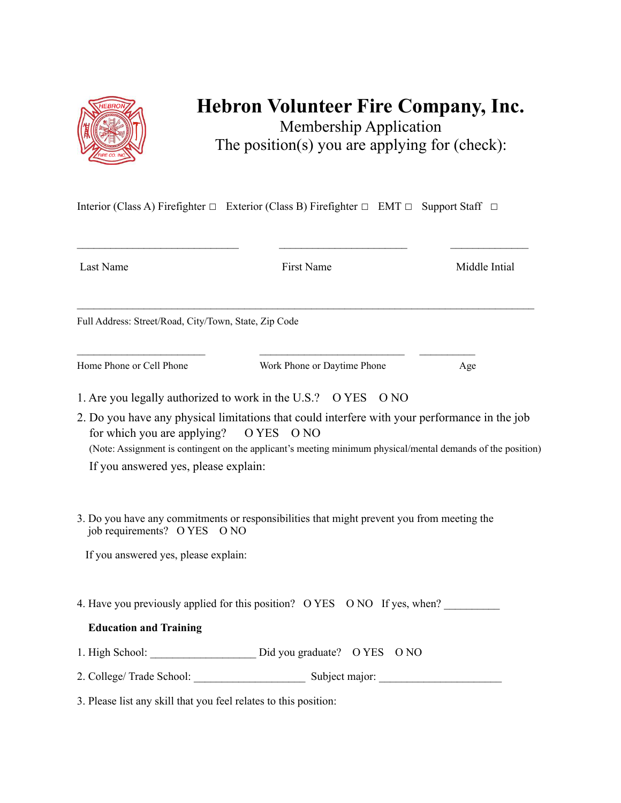

## **Hebron Volunteer Fire Company, Inc.**

Membership Application The position(s) you are applying for (check):

Interior (Class A) Firefighter □ Exterior (Class B) Firefighter □ EMT □ Support Staff □

| Last Name                                                                      | First Name                                                                                                                                                                                                   | Middle Intial |
|--------------------------------------------------------------------------------|--------------------------------------------------------------------------------------------------------------------------------------------------------------------------------------------------------------|---------------|
| Full Address: Street/Road, City/Town, State, Zip Code                          |                                                                                                                                                                                                              |               |
| Home Phone or Cell Phone                                                       | Work Phone or Daytime Phone                                                                                                                                                                                  | Age           |
|                                                                                | 1. Are you legally authorized to work in the U.S.? O YES O NO                                                                                                                                                |               |
| for which you are applying? O YES O NO<br>If you answered yes, please explain: | 2. Do you have any physical limitations that could interfere with your performance in the job<br>(Note: Assignment is contingent on the applicant's meeting minimum physical/mental demands of the position) |               |
| job requirements? O YES O NO                                                   | 3. Do you have any commitments or responsibilities that might prevent you from meeting the                                                                                                                   |               |
| If you answered yes, please explain:                                           |                                                                                                                                                                                                              |               |
|                                                                                |                                                                                                                                                                                                              |               |
|                                                                                | 4. Have you previously applied for this position? O YES O NO If yes, when?                                                                                                                                   |               |
| <b>Education and Training</b>                                                  |                                                                                                                                                                                                              |               |
|                                                                                | 1. High School: _______________________ Did you graduate? O YES O NO                                                                                                                                         |               |

3. Please list any skill that you feel relates to this position: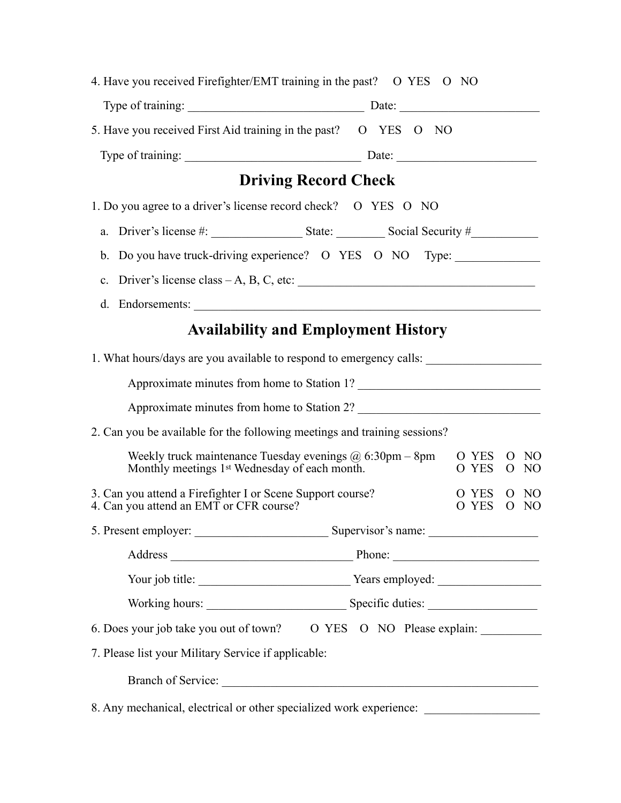| 4. Have you received Firefighter/EMT training in the past? O YES O NO                                                        |                                              |
|------------------------------------------------------------------------------------------------------------------------------|----------------------------------------------|
|                                                                                                                              |                                              |
| 5. Have you received First Aid training in the past? O YES O NO                                                              |                                              |
|                                                                                                                              |                                              |
| <b>Driving Record Check</b>                                                                                                  |                                              |
| 1. Do you agree to a driver's license record check? O YES O NO                                                               |                                              |
| a. Driver's license $\#\mathbb{R}$ State: Social Security $\#\mathbb{R}$                                                     |                                              |
| b. Do you have truck-driving experience? O YES O NO Type: ______________________                                             |                                              |
|                                                                                                                              |                                              |
| d. Endorsements:                                                                                                             |                                              |
| <b>Availability and Employment History</b>                                                                                   |                                              |
| 1. What hours/days are you available to respond to emergency calls:                                                          |                                              |
| Approximate minutes from home to Station 1?                                                                                  |                                              |
|                                                                                                                              |                                              |
| 2. Can you be available for the following meetings and training sessions?                                                    |                                              |
| Weekly truck maintenance Tuesday evenings $\omega$ 6:30pm – 8pm<br>Monthly meetings 1 <sup>st</sup> Wednesday of each month. | O YES<br>- NO<br>$\Omega$<br>O YES<br>$O$ NO |
| 3. Can you attend a Firefighter I or Scene Support course?<br>4. Can you attend an EMT or CFR course?                        | O YES<br>$O$ NO<br>O YES<br>$O$ NO           |
|                                                                                                                              |                                              |
|                                                                                                                              |                                              |
|                                                                                                                              |                                              |
|                                                                                                                              |                                              |
| 6. Does your job take you out of town? O YES O NO Please explain:                                                            |                                              |
| 7. Please list your Military Service if applicable:                                                                          |                                              |
|                                                                                                                              |                                              |
| 8. Any mechanical, electrical or other specialized work experience: _____________                                            |                                              |